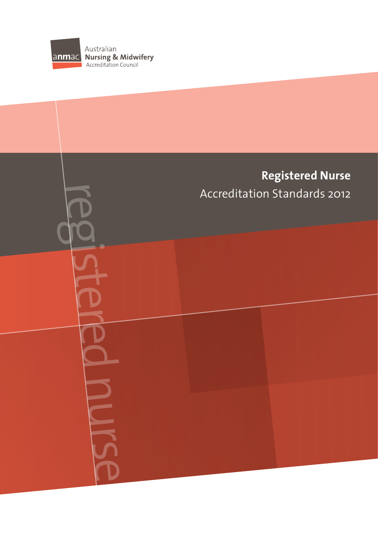

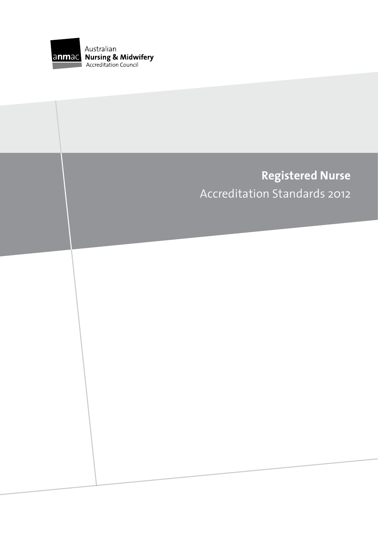

# **Registered Nurse** Accreditation Standards 2012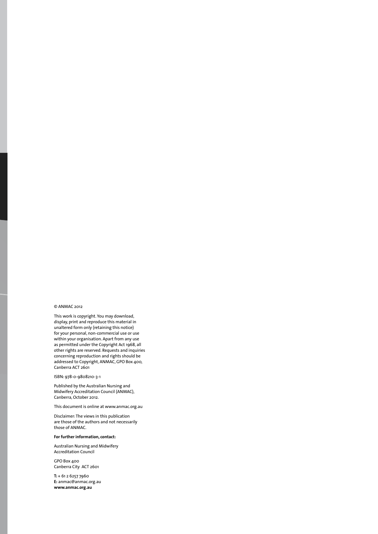#### © ANMAC 2012

This work is copyright. You may download, display, print and reproduce this material in unaltered form only (retaining this notice) for your personal, non-commercial use or use within your organisation. Apart from any use as permitted under the Copyright Act 1968, all other rights are reserved. Requests and inquiries concerning reproduction and rights should be addressed to Copyright, ANMAC, GPO Box 400, Canberra ACT 2601

#### ISBN: 978-0-9808210-3-1

Published by the Australian Nursing and Midwifery Accreditation Council (ANMAC), Canberra, October 2012.

This document is online at www.anmac.org.au

Disclaimer: The views in this publication are those of the authors and not necessarily those of ANMAC.

#### **For further information, contact:**

Australian Nursing and Midwifery Accreditation Council

GPO Box 400 Canberra City ACT 2601

**T:** + 61 2 6257 7960 **E:** anmac@anmac.org.au **www.anmac.org.au**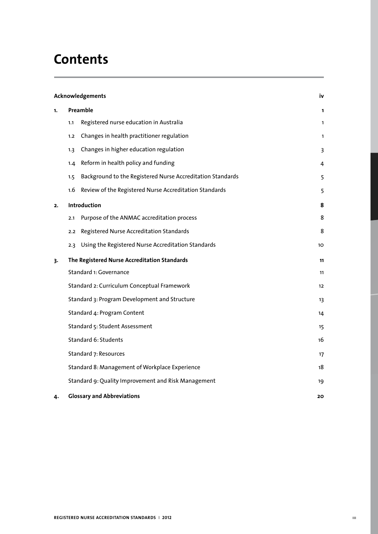# **Contents**

|    | Acknowledgements                                    |                                                            |                   |
|----|-----------------------------------------------------|------------------------------------------------------------|-------------------|
| 1. | Preamble                                            |                                                            | 1                 |
|    | 1.1                                                 | Registered nurse education in Australia                    | $\mathbf{1}$      |
|    | 1.2                                                 | Changes in health practitioner regulation                  | $\mathbf{1}$      |
|    | 1.3                                                 | Changes in higher education regulation                     | 3                 |
|    | 1.4                                                 | Reform in health policy and funding                        | 4                 |
|    | 1.5                                                 | Background to the Registered Nurse Accreditation Standards | 5                 |
|    | 1.6                                                 | Review of the Registered Nurse Accreditation Standards     | 5                 |
| 2. | Introduction                                        |                                                            | 8                 |
|    | 2.1                                                 | Purpose of the ANMAC accreditation process                 | 8                 |
|    | 2.2                                                 | Registered Nurse Accreditation Standards                   | 8                 |
|    | 2.3                                                 | Using the Registered Nurse Accreditation Standards         | 10                |
| 3. |                                                     | The Registered Nurse Accreditation Standards               | 11                |
|    | Standard 1: Governance                              |                                                            | 11                |
|    | Standard 2: Curriculum Conceptual Framework         |                                                            | $12 \overline{ }$ |
|    | Standard 3: Program Development and Structure       |                                                            | 13                |
|    | Standard 4: Program Content                         |                                                            | 14                |
|    | Standard 5: Student Assessment                      |                                                            | 15                |
|    | Standard 6: Students                                |                                                            | 16                |
|    | Standard 7: Resources                               |                                                            | 17                |
|    | Standard 8: Management of Workplace Experience      |                                                            | 18                |
|    | Standard 9: Quality Improvement and Risk Management |                                                            | 19                |
| 4. | <b>Glossary and Abbreviations</b>                   |                                                            | 20                |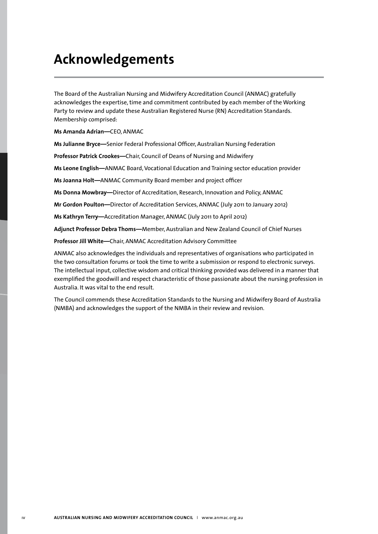# **Acknowledgements**

The Board of the Australian Nursing and Midwifery Accreditation Council (ANMAC) gratefully acknowledges the expertise, time and commitment contributed by each member of the Working Party to review and update these Australian Registered Nurse (RN) Accreditation Standards. Membership comprised:

**Ms Amanda Adrian—**CEO, ANMAC

**Ms Julianne Bryce—**Senior Federal Professional Officer, Australian Nursing Federation

**Professor Patrick Crookes—**Chair, Council of Deans of Nursing and Midwifery

**Ms Leone English—**ANMAC Board, Vocational Education and Training sector education provider

**Ms Joanna Holt—**ANMAC Community Board member and project officer

**Ms Donna Mowbray—**Director of Accreditation, Research, Innovation and Policy, ANMAC

**Mr Gordon Poulton—**Director of Accreditation Services, ANMAC (July 2011 to January 2012)

**Ms Kathryn Terry—**Accreditation Manager, ANMAC (July 2011 to April 2012)

**Adjunct Professor Debra Thoms—**Member, Australian and New Zealand Council of Chief Nurses

**Professor Jill White—**Chair, ANMAC Accreditation Advisory Committee

ANMAC also acknowledges the individuals and representatives of organisations who participated in the two consultation forums or took the time to write a submission or respond to electronic surveys. The intellectual input, collective wisdom and critical thinking provided was delivered in a manner that exemplified the goodwill and respect characteristic of those passionate about the nursing profession in Australia. It was vital to the end result.

The Council commends these Accreditation Standards to the Nursing and Midwifery Board of Australia (NMBA) and acknowledges the support of the NMBA in their review and revision.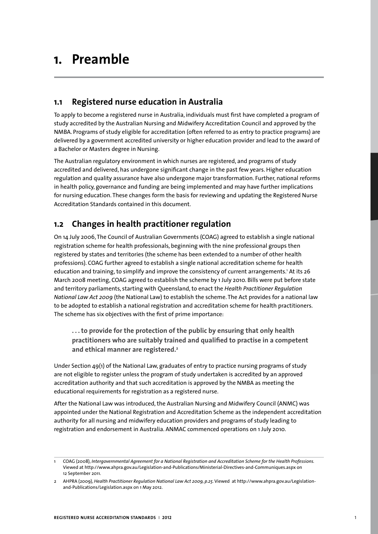# **1. Preamble**

## **1.1 Registered nurse education in Australia**

To apply to become a registered nurse in Australia, individuals must first have completed a program of study accredited by the Australian Nursing and Midwifery Accreditation Council and approved by the NMBA. Programs of study eligible for accreditation (often referred to as entry to practice programs) are delivered by a government accredited university or higher education provider and lead to the award of a Bachelor or Masters degree in Nursing.

The Australian regulatory environment in which nurses are registered, and programs of study accredited and delivered, has undergone significant change in the past few years. Higher education regulation and quality assurance have also undergone major transformation. Further, national reforms in health policy, governance and funding are being implemented and may have further implications for nursing education. These changes form the basis for reviewing and updating the Registered Nurse Accreditation Standards contained in this document.

# **1.2 Changes in health practitioner regulation**

On 14 July 2006, The Council of Australian Governments (COAG) agreed to establish a single national registration scheme for health professionals, beginning with the nine professional groups then registered by states and territories (the scheme has been extended to a number of other health professions). COAG further agreed to establish a single national accreditation scheme for health education and training, to simplify and improve the consistency of current arrangements.' At its 26 March 2008 meeting, COAG agreed to establish the scheme by 1 July 2010. Bills were put before state and territory parliaments, starting with Queensland, to enact the *Health Practitioner Regulation National Law Act 2009* (the National Law) to establish the scheme. The Act provides for a national law to be adopted to establish a national registration and accreditation scheme for health practitioners. The scheme has six objectives with the first of prime importance:

**. . . to provide for the protection of the public by ensuring that only health practitioners who are suitably trained and qualified to practise in a competent and ethical manner are registered.2**

Under Section 49(1) of the National Law, graduates of entry to practice nursing programs of study are not eligible to register unless the program of study undertaken is accredited by an approved accreditation authority and that such accreditation is approved by the NMBA as meeting the educational requirements for registration as a registered nurse.

After the National Law was introduced, the Australian Nursing and Midwifery Council (ANMC) was appointed under the National Registration and Accreditation Scheme as the independent accreditation authority for all nursing and midwifery education providers and programs of study leading to registration and endorsement in Australia. ANMAC commenced operations on 1 July 2010.

<sup>1</sup> COAG (2008), *Intergovernmental Agreement for a National Registration and Accreditation Scheme for the Health Professions.*  Viewed at http://www.ahpra.gov.au/Legislation-and-Publications/Ministerial-Directives-and-Communiques.aspx on 12 September 2011.

<sup>2</sup> AHPRA (2009), *Health Practitioner Regulation National Law Act 2009, p.25*. Viewed at http://www.ahpra.gov.au/Legislationand-Publications/Legislation.aspx on 1 May 2012.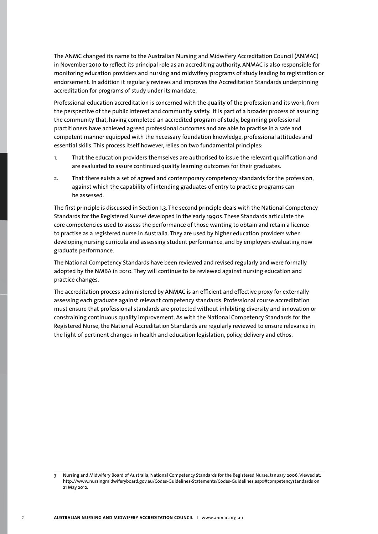The ANMC changed its name to the Australian Nursing and Midwifery Accreditation Council (ANMAC) in November 2010 to reflect its principal role as an accrediting authority. ANMAC is also responsible for monitoring education providers and nursing and midwifery programs of study leading to registration or endorsement. In addition it regularly reviews and improves the Accreditation Standards underpinning accreditation for programs of study under its mandate.

Professional education accreditation is concerned with the quality of the profession and its work, from the perspective of the public interest and community safety. It is part of a broader process of assuring the community that, having completed an accredited program of study, beginning professional practitioners have achieved agreed professional outcomes and are able to practise in a safe and competent manner equipped with the necessary foundation knowledge, professional attitudes and essential skills. This process itself however, relies on two fundamental principles:

- 1. That the education providers themselves are authorised to issue the relevant qualification and are evaluated to assure continued quality learning outcomes for their graduates.
- 2. That there exists a set of agreed and contemporary competency standards for the profession, against which the capability of intending graduates of entry to practice programs can be assessed.

The first principle is discussed in Section 1.3. The second principle deals with the National Competency Standards for the Registered Nurse<sup>3</sup> developed in the early 1990s. These Standards articulate the core competencies used to assess the performance of those wanting to obtain and retain a licence to practise as a registered nurse in Australia. They are used by higher education providers when developing nursing curricula and assessing student performance, and by employers evaluating new graduate performance.

The National Competency Standards have been reviewed and revised regularly and were formally adopted by the NMBA in 2010. They will continue to be reviewed against nursing education and practice changes.

The accreditation process administered by ANMAC is an efficient and effective proxy for externally assessing each graduate against relevant competency standards. Professional course accreditation must ensure that professional standards are protected without inhibiting diversity and innovation or constraining continuous quality improvement. As with the National Competency Standards for the Registered Nurse, the National Accreditation Standards are regularly reviewed to ensure relevance in the light of pertinent changes in health and education legislation, policy, delivery and ethos.

<sup>3</sup> Nursing and Midwifery Board of Australia, National Competency Standards for the Registered Nurse, January 2006. Viewed at: http://www.nursingmidwiferyboard.gov.au/Codes-Guidelines-Statements/Codes-Guidelines.aspx#competencystandards on 21 May 2012.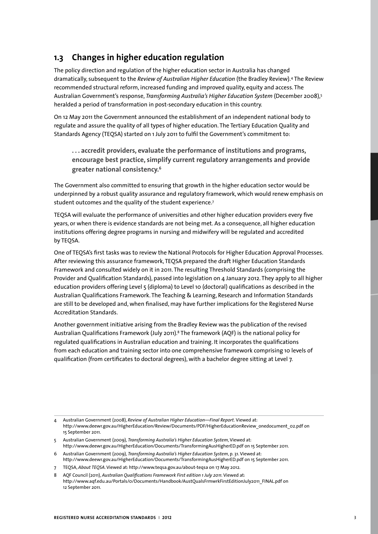# **1.3 Changes in higher education regulation**

The policy direction and regulation of the higher education sector in Australia has changed dramatically, subsequent to the *Review of Australian Higher Education* (the Bradley Review).4 The Review recommended structural reform, increased funding and improved quality, equity and access. The Australian Government's response, *Transforming Australia's Higher Education System* (December 2008),5 heralded a period of transformation in post-secondary education in this country.

On 12 May 2011 the Government announced the establishment of an independent national body to regulate and assure the quality of all types of higher education. The Tertiary Education Quality and Standards Agency (TEQSA) started on 1 July 2011 to fulfil the Government's commitment to:

**. . . accredit providers, evaluate the performance of institutions and programs, encourage best practice, simplify current regulatory arrangements and provide greater national consistency.6**

The Government also committed to ensuring that growth in the higher education sector would be underpinned by a robust quality assurance and regulatory framework, which would renew emphasis on student outcomes and the quality of the student experience.<sup>7</sup>

TEQSA will evaluate the performance of universities and other higher education providers every five years, or when there is evidence standards are not being met. As a consequence, all higher education institutions offering degree programs in nursing and midwifery will be regulated and accredited by TEQSA.

One of TEQSA's first tasks was to review the National Protocols for Higher Education Approval Processes. After reviewing this assurance framework, TEQSA prepared the draft Higher Education Standards Framework and consulted widely on it in 2011. The resulting Threshold Standards (comprising the Provider and Qualification Standards), passed into legislation on 4 January 2012. They apply to all higher education providers offering Level 5 (diploma) to Level 10 (doctoral) qualifications as described in the Australian Qualifications Framework. The Teaching & Learning, Research and Information Standards are still to be developed and, when finalised, may have further implications for the Registered Nurse Accreditation Standards.

Another government initiative arising from the Bradley Review was the publication of the revised Australian Qualifications Framework (July 2011).8 The framework (AQF) is the national policy for regulated qualifications in Australian education and training. It incorporates the qualifications from each education and training sector into one comprehensive framework comprising 10 levels of qualification (from certificates to doctoral degrees), with a bachelor degree sitting at Level 7.

<sup>4</sup> Australian Government (2008), *Review of Australian Higher Education—Final Report.* Viewed at: http://www.deewr.gov.au/HigherEducation/Review/Documents/PDF/HigherEducationReview\_onedocument\_02.pdf on 15 September 2011.

<sup>5</sup> Australian Government (2009), *Transforming Australia's Higher Education System*, Viewed at: http://www.deewr.gov.au/HigherEducation/Documents/TransformingAusHigherED.pdf on 15 September 2011.

<sup>6</sup> Australian Government (2009), *Transforming Australia's Higher Education System*, p. 31. Viewed at: http://www.deewr.gov.au/HigherEducation/Documents/TransformingAusHigherED.pdf on 15 September 2011.

<sup>7</sup> TEQSA, *About TEQSA*. Viewed at: http://www.teqsa.gov.au/about-teqsa on 17 May 2012.

<sup>8</sup> AQF Council (2011), *Australian Qualifications Framework First edition 1 July 2011*. Viewed at: http://www.aqf.edu.au/Portals/0/Documents/Handbook/AustQualsFrmwrkFirstEditionJuly2011\_FINAL.pdf on 12 September 2011.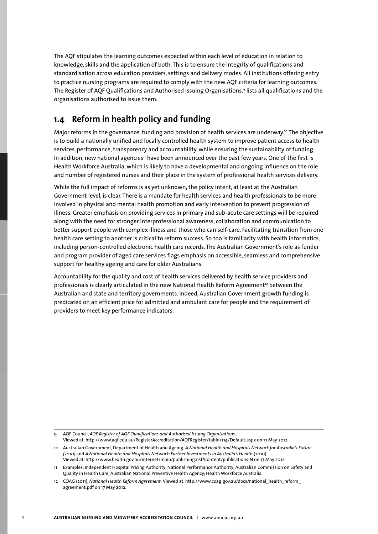The AQF stipulates the learning outcomes expected within each level of education in relation to knowledge, skills and the application of both. This is to ensure the integrity of qualifications and standardisation across education providers, settings and delivery modes. All institutions offering entry to practice nursing programs are required to comply with the new AQF criteria for learning outcomes. The Register of AQF Qualifications and Authorised Issuing Organisations,9 lists all qualifications and the organisations authorised to issue them.

# **1.4 Reform in health policy and funding**

Major reforms in the governance, funding and provision of health services are underway.<sup>10</sup> The objective is to build a nationally unified and locally controlled health system to improve patient access to health services, performance, transparency and accountability, while ensuring the sustainability of funding. In addition, new national agencies<sup>1</sup> have been announced over the past few years. One of the first is Health Workforce Australia, which is likely to have a developmental and ongoing influence on the role and number of registered nurses and their place in the system of professional health services delivery.

While the full impact of reforms is as yet unknown, the policy intent, at least at the Australian Government level, is clear. There is a mandate for health services and health professionals to be more involved in physical and mental health promotion and early intervention to prevent progression of illness. Greater emphasis on providing services in primary and sub-acute care settings will be required along with the need for stronger interprofessional awareness, collaboration and communication to better support people with complex illness and those who can self-care. Facilitating transition from one health care setting to another is critical to reform success. So too is familiarity with health informatics, including person-controlled electronic health care records. The Australian Government's role as funder and program provider of aged care services flags emphasis on accessible, seamless and comprehensive support for healthy ageing and care for older Australians.

Accountability for the quality and cost of health services delivered by health service providers and professionals is clearly articulated in the new National Health Reform Agreement<sup>12</sup> between the Australian and state and territory governments. Indeed, Australian Government growth funding is predicated on an efficient price for admitted and ambulant care for people and the requirement of providers to meet key performance indicators.

<sup>9</sup> AQF Council, *AQF Register of AQF Qualifications and Authorised Issuing Organisations*.

Viewed at: http://www.aqf.edu.au/RegisterAccreditation/AQFRegister/tabid/174/Default.aspx on 17 May 2012.

<sup>10</sup> Australian Government, Department of Health and Ageing, *A National Health and Hospitals Network for Australia's Future (2010)* and *A National Health and Hospitals Network: Further Investments in Australia's Health* (2010). Viewed at: http://www.health.gov.au/internet/main/publishing.nsf/Content/publications-N on 17 May 2012.

<sup>11</sup> Examples: Independent Hospital Pricing Authority; National Performance Authority; Australian Commission on Safety and Quality in Health Care; Australian National Preventive Health Agency; Health Workforce Australia.

<sup>12</sup> COAG (2011), *National Health Reform Agreement.* Viewed at: http://www.coag.gov.au/docs/national\_health\_reform\_ agreement.pdf on 17 May 2012.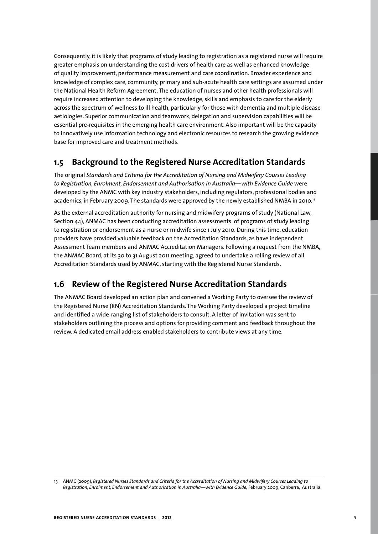Consequently, it is likely that programs of study leading to registration as a registered nurse will require greater emphasis on understanding the cost drivers of health care as well as enhanced knowledge of quality improvement, performance measurement and care coordination. Broader experience and knowledge of complex care, community, primary and sub-acute health care settings are assumed under the National Health Reform Agreement. The education of nurses and other health professionals will require increased attention to developing the knowledge, skills and emphasis to care for the elderly across the spectrum of wellness to ill health, particularly for those with dementia and multiple disease aetiologies. Superior communication and teamwork, delegation and supervision capabilities will be essential pre-requisites in the emerging health care environment. Also important will be the capacity to innovatively use information technology and electronic resources to research the growing evidence base for improved care and treatment methods.

# **1.5 Background to the Registered Nurse Accreditation Standards**

The original *Standards and Criteria for the Accreditation of Nursing and Midwifery Courses Leading to Registration, Enrolment, Endorsement and Authorisation in Australia—with Evidence Guide* were developed by the ANMC with key industry stakeholders, including regulators, professional bodies and academics, in February 2009. The standards were approved by the newly established NMBA in 2010.<sup>13</sup>

As the external accreditation authority for nursing and midwifery programs of study (National Law, Section 44), ANMAC has been conducting accreditation assessments of programs of study leading to registration or endorsement as a nurse or midwife since 1 July 2010. During this time, education providers have provided valuable feedback on the Accreditation Standards, as have independent Assessment Team members and ANMAC Accreditation Managers. Following a request from the NMBA, the ANMAC Board, at its 30 to 31 August 2011 meeting, agreed to undertake a rolling review of all Accreditation Standards used by ANMAC, starting with the Registered Nurse Standards.

# **1.6 Review of the Registered Nurse Accreditation Standards**

The ANMAC Board developed an action plan and convened a Working Party to oversee the review of the Registered Nurse (RN) Accreditation Standards. The Working Party developed a project timeline and identified a wide-ranging list of stakeholders to consult. A letter of invitation was sent to stakeholders outlining the process and options for providing comment and feedback throughout the review. A dedicated email address enabled stakeholders to contribute views at any time.

<sup>13</sup> ANMC (2009), *Registered Nurses Standards and Criteria for the Accreditation of Nursing and Midwifery Courses Leading to Registration, Enrolment, Endorsement and Authorisation in Australia—with Evidence Guide,* February 2009, Canberra, Australia.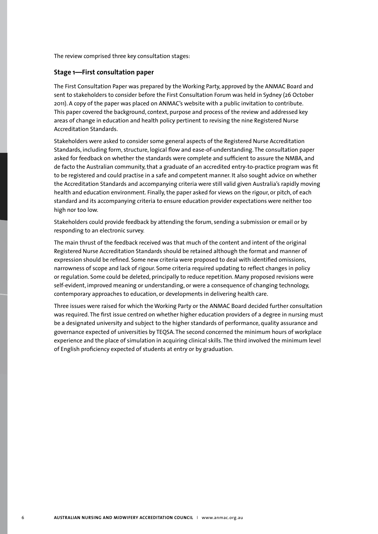The review comprised three key consultation stages:

#### **Stage 1—First consultation paper**

The First Consultation Paper was prepared by the Working Party, approved by the ANMAC Board and sent to stakeholders to consider before the First Consultation Forum was held in Sydney (26 October 2011). A copy of the paper was placed on ANMAC's website with a public invitation to contribute. This paper covered the background, context, purpose and process of the review and addressed key areas of change in education and health policy pertinent to revising the nine Registered Nurse Accreditation Standards.

Stakeholders were asked to consider some general aspects of the Registered Nurse Accreditation Standards, including form, structure, logical flow and ease-of-understanding. The consultation paper asked for feedback on whether the standards were complete and sufficient to assure the NMBA, and de facto the Australian community, that a graduate of an accredited entry-to-practice program was fit to be registered and could practise in a safe and competent manner. It also sought advice on whether the Accreditation Standards and accompanying criteria were still valid given Australia's rapidly moving health and education environment. Finally, the paper asked for views on the rigour, or pitch, of each standard and its accompanying criteria to ensure education provider expectations were neither too high nor too low.

Stakeholders could provide feedback by attending the forum, sending a submission or email or by responding to an electronic survey.

The main thrust of the feedback received was that much of the content and intent of the original Registered Nurse Accreditation Standards should be retained although the format and manner of expression should be refined. Some new criteria were proposed to deal with identified omissions, narrowness of scope and lack of rigour. Some criteria required updating to reflect changes in policy or regulation. Some could be deleted, principally to reduce repetition. Many proposed revisions were self-evident, improved meaning or understanding, or were a consequence of changing technology, contemporary approaches to education, or developments in delivering health care.

Three issues were raised for which the Working Party or the ANMAC Board decided further consultation was required. The first issue centred on whether higher education providers of a degree in nursing must be a designated university and subject to the higher standards of performance, quality assurance and governance expected of universities by TEQSA. The second concerned the minimum hours of workplace experience and the place of simulation in acquiring clinical skills. The third involved the minimum level of English proficiency expected of students at entry or by graduation.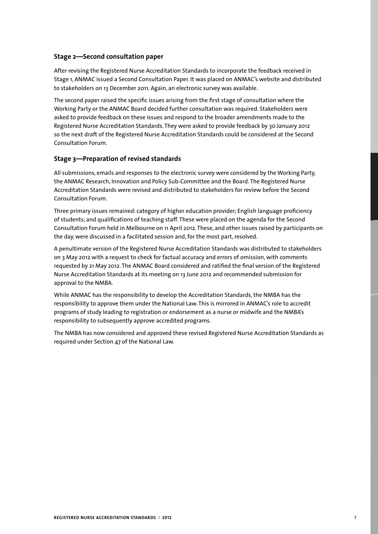### **Stage 2—Second consultation paper**

After revising the Registered Nurse Accreditation Standards to incorporate the feedback received in Stage 1, ANMAC issued a Second Consultation Paper. It was placed on ANMAC's website and distributed to stakeholders on 13 December 2011. Again, an electronic survey was available.

The second paper raised the specific issues arising from the first stage of consultation where the Working Party or the ANMAC Board decided further consultation was required. Stakeholders were asked to provide feedback on these issues and respond to the broader amendments made to the Registered Nurse Accreditation Standards. They were asked to provide feedback by 30 January 2012 so the next draft of the Registered Nurse Accreditation Standards could be considered at the Second Consultation Forum.

### **Stage 3—Preparation of revised standards**

All submissions, emails and responses to the electronic survey were considered by the Working Party, the ANMAC Research, Innovation and Policy Sub-Committee and the Board. The Registered Nurse Accreditation Standards were revised and distributed to stakeholders for review before the Second Consultation Forum.

Three primary issues remained: category of higher education provider; English language proficiency of students; and qualifications of teaching staff. These were placed on the agenda for the Second Consultation Forum held in Melbourne on 11 April 2012. These, and other issues raised by participants on the day, were discussed in a facilitated session and, for the most part, resolved.

A penultimate version of the Registered Nurse Accreditation Standards was distributed to stakeholders on 3 May 2012 with a request to check for factual accuracy and errors of omission, with comments requested by 21 May 2012. The ANMAC Board considered and ratified the final version of the Registered Nurse Accreditation Standards at its meeting on 13 June 2012 and recommended submission for approval to the NMBA.

While ANMAC has the responsibility to develop the Accreditation Standards, the NMBA has the responsibility to approve them under the National Law. This is mirrored in ANMAC's role to accredit programs of study leading to registration or endorsement as a nurse or midwife and the NMBA's responsibility to subsequently approve accredited programs.

The NMBA has now considered and approved these revised Registered Nurse Accreditation Standards as required under Section 47 of the National Law.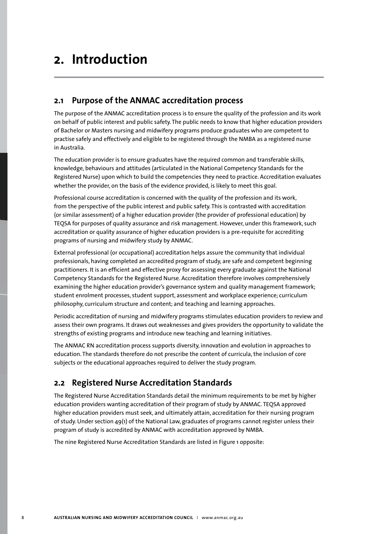# **2. Introduction**

## **2.1 Purpose of the ANMAC accreditation process**

The purpose of the ANMAC accreditation process is to ensure the quality of the profession and its work on behalf of public interest and public safety. The public needs to know that higher education providers of Bachelor or Masters nursing and midwifery programs produce graduates who are competent to practise safely and effectively and eligible to be registered through the NMBA as a registered nurse in Australia.

The education provider is to ensure graduates have the required common and transferable skills, knowledge, behaviours and attitudes (articulated in the National Competency Standards for the Registered Nurse) upon which to build the competencies they need to practice. Accreditation evaluates whether the provider, on the basis of the evidence provided, is likely to meet this goal.

Professional course accreditation is concerned with the quality of the profession and its work, from the perspective of the public interest and public safety. This is contrasted with accreditation (or similar assessment) of a higher education provider (the provider of professional education) by TEQSA for purposes of quality assurance and risk management. However, under this framework, such accreditation or quality assurance of higher education providers is a pre-requisite for accrediting programs of nursing and midwifery study by ANMAC.

External professional (or occupational) accreditation helps assure the community that individual professionals, having completed an accredited program of study, are safe and competent beginning practitioners. It is an efficient and effective proxy for assessing every graduate against the National Competency Standards for the Registered Nurse. Accreditation therefore involves comprehensively examining the higher education provider's governance system and quality management framework; student enrolment processes, student support, assessment and workplace experience; curriculum philosophy, curriculum structure and content; and teaching and learning approaches.

Periodic accreditation of nursing and midwifery programs stimulates education providers to review and assess their own programs. It draws out weaknesses and gives providers the opportunity to validate the strengths of existing programs and introduce new teaching and learning initiatives.

The ANMAC RN accreditation process supports diversity, innovation and evolution in approaches to education. The standards therefore do not prescribe the content of curricula, the inclusion of core subjects or the educational approaches required to deliver the study program.

# **2.2 Registered Nurse Accreditation Standards**

The Registered Nurse Accreditation Standards detail the minimum requirements to be met by higher education providers wanting accreditation of their program of study by ANMAC. TEQSA approved higher education providers must seek, and ultimately attain, accreditation for their nursing program of study. Under section 49(1) of the National Law, graduates of programs cannot register unless their program of study is accredited by ANMAC with accreditation approved by NMBA.

The nine Registered Nurse Accreditation Standards are listed in Figure 1 opposite: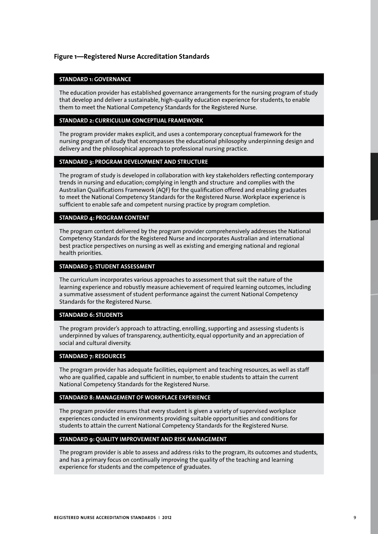## **Figure 1—Registered Nurse Accreditation Standards**

#### **STANDARD 1: GOVERNANCE**

The education provider has established governance arrangements for the nursing program of study that develop and deliver a sustainable, high-quality education experience for students, to enable them to meet the National Competency Standards for the Registered Nurse.

### **STANDARD 2: CURRICULUM CONCEPTUAL FRAMEWORK**

The program provider makes explicit, and uses a contemporary conceptual framework for the nursing program of study that encompasses the educational philosophy underpinning design and delivery and the philosophical approach to professional nursing practice.

#### **STANDARD 3: PROGRAM DEVELOPMENT AND STRUCTURE**

The program of study is developed in collaboration with key stakeholders reflecting contemporary trends in nursing and education; complying in length and structure and complies with the Australian Qualifications Framework (AQF) for the qualification offered and enabling graduates to meet the National Competency Standards for the Registered Nurse. Workplace experience is sufficient to enable safe and competent nursing practice by program completion.

#### **STANDARD 4: PROGRAM CONTENT**

The program content delivered by the program provider comprehensively addresses the National Competency Standards for the Registered Nurse and incorporates Australian and international best practice perspectives on nursing as well as existing and emerging national and regional health priorities.

#### **STANDARD 5: STUDENT ASSESSMENT**

The curriculum incorporates various approaches to assessment that suit the nature of the learning experience and robustly measure achievement of required learning outcomes, including a summative assessment of student performance against the current National Competency Standards for the Registered Nurse.

#### **STANDARD 6: STUDENTS**

The program provider's approach to attracting, enrolling, supporting and assessing students is underpinned by values of transparency, authenticity, equal opportunity and an appreciation of social and cultural diversity.

#### **STANDARD 7: RESOURCES**

The program provider has adequate facilities, equipment and teaching resources, as well as staff who are qualified, capable and sufficient in number, to enable students to attain the current National Competency Standards for the Registered Nurse.

#### **STANDARD 8: MANAGEMENT OF WORKPLACE EXPERIENCE**

The program provider ensures that every student is given a variety of supervised workplace experiences conducted in environments providing suitable opportunities and conditions for students to attain the current National Competency Standards for the Registered Nurse.

#### **STANDARD 9: QUALITY IMPROVEMENT AND RISK MANAGEMENT**

The program provider is able to assess and address risks to the program, its outcomes and students, and has a primary focus on continually improving the quality of the teaching and learning experience for students and the competence of graduates.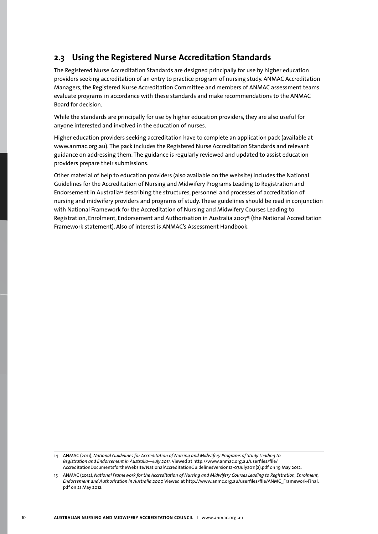# **2.3 Using the Registered Nurse Accreditation Standards**

The Registered Nurse Accreditation Standards are designed principally for use by higher education providers seeking accreditation of an entry to practice program of nursing study. ANMAC Accreditation Managers, the Registered Nurse Accreditation Committee and members of ANMAC assessment teams evaluate programs in accordance with these standards and make recommendations to the ANMAC Board for decision.

While the standards are principally for use by higher education providers, they are also useful for anyone interested and involved in the education of nurses.

Higher education providers seeking accreditation have to complete an application pack (available at www.anmac.org.au). The pack includes the Registered Nurse Accreditation Standards and relevant guidance on addressing them. The guidance is regularly reviewed and updated to assist education providers prepare their submissions.

Other material of help to education providers (also available on the website) includes the National Guidelines for the Accreditation of Nursing and Midwifery Programs Leading to Registration and Endorsement in Australia14 describing the structures, personnel and processes of accreditation of nursing and midwifery providers and programs of study. These guidelines should be read in conjunction with National Framework for the Accreditation of Nursing and Midwifery Courses Leading to Registration, Enrolment, Endorsement and Authorisation in Australia 2007<sup>15</sup> (the National Accreditation Framework statement). Also of interest is ANMAC's Assessment Handbook.

14 ANMAC (2011), *National Guidelines for Accreditation of Nursing and Midwifery Programs of Study Leading to Registration and Endorsement in Australia—July 2011.* Viewed at http://www.anmac.org.au/userfiles/file/ AccreditationDocumentsfortheWebsite/NationalAccreditationGuidelinesVersion12-07July2011(2).pdf on 19 May 2012.

15 ANMAC (2012), *National Framework for the Accreditation of Nursing and Midwifery Courses Leading to Registration, Enrolment, Endorsement and Authorisation in Australia 2007.* Viewed at http://www.anmc.org.au/userfiles/file/ANMC\_Framework-Final. pdf on 21 May 2012.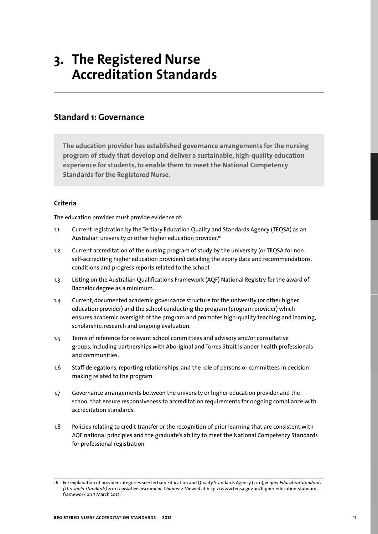# **3. The Registered Nurse Accreditation Standards**

## **Standard 1: Governance**

**The education provider has established governance arrangements for the nursing program of study that develop and deliver a sustainable, high-quality education experience for students, to enable them to meet the National Competency Standards for the Registered Nurse.** 

### **Criteria**

The education provider must provide evidence of:

- 1.1 Current registration by the Tertiary Education Quality and Standards Agency (TEQSA) as an Australian university or other higher education provider.<sup>16</sup>
- 1.2 Current accreditation of the nursing program of study by the university (or TEQSA for nonself-accrediting higher education providers) detailing the expiry date and recommendations, conditions and progress reports related to the school.
- 1.3 Listing on the Australian Qualifications Framework (AQF) National Registry for the award of Bachelor degree as a minimum.
- 1.4 Current, documented academic governance structure for the university (or other higher education provider) and the school conducting the program (program provider) which ensures academic oversight of the program and promotes high-quality teaching and learning, scholarship, research and ongoing evaluation.
- 1.5 Terms of reference for relevant school committees and advisory and/or consultative groups, including partnerships with Aboriginal and Torres Strait Islander health professionals and communities.
- 1.6 Staff delegations, reporting relationships, and the role of persons or committees in decision making related to the program.
- 1.7 Governance arrangements between the university or higher education provider and the school that ensure responsiveness to accreditation requirements for ongoing compliance with accreditation standards.
- 1.8 Policies relating to credit transfer or the recognition of prior learning that are consistent with AQF national principles and the graduate's ability to meet the National Competency Standards for professional registration.

<sup>16</sup> For explanation of provider categories see: Tertiary Education and Quality Standards Agency (2011), *Higher Education Standards (Threshold Standards) 2011 Legislative Instrument, Chapter 2.* Viewed at http://www.teqsa.gov.au/higher-education-standardsframework on 7 March 2012.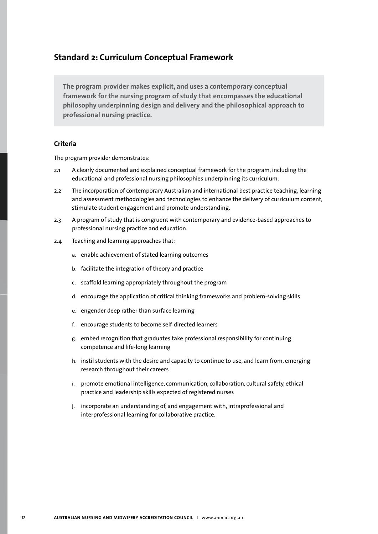## **Standard 2: Curriculum Conceptual Framework**

**The program provider makes explicit, and uses a contemporary conceptual framework for the nursing program of study that encompasses the educational philosophy underpinning design and delivery and the philosophical approach to professional nursing practice.**

## **Criteria**

- 2.1 A clearly documented and explained conceptual framework for the program, including the educational and professional nursing philosophies underpinning its curriculum.
- 2.2 The incorporation of contemporary Australian and international best practice teaching, learning and assessment methodologies and technologies to enhance the delivery of curriculum content, stimulate student engagement and promote understanding.
- 2.3 A program of study that is congruent with contemporary and evidence-based approaches to professional nursing practice and education.
- 2.4 Teaching and learning approaches that:
	- a. enable achievement of stated learning outcomes
	- b. facilitate the integration of theory and practice
	- c. scaffold learning appropriately throughout the program
	- d. encourage the application of critical thinking frameworks and problem-solving skills
	- e. engender deep rather than surface learning
	- f. encourage students to become self-directed learners
	- g. embed recognition that graduates take professional responsibility for continuing competence and life-long learning
	- h. instil students with the desire and capacity to continue to use, and learn from, emerging research throughout their careers
	- i. promote emotional intelligence, communication, collaboration, cultural safety, ethical practice and leadership skills expected of registered nurses
	- j. incorporate an understanding of, and engagement with, intraprofessional and interprofessional learning for collaborative practice.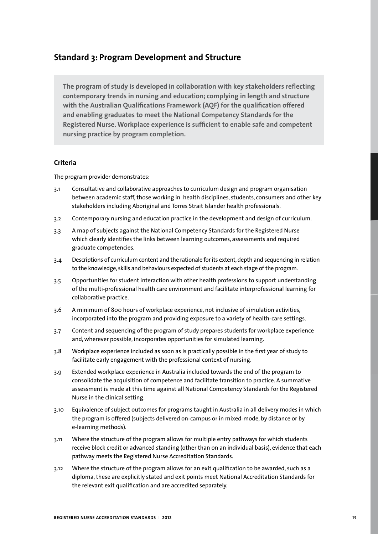## **Standard 3: Program Development and Structure**

**The program of study is developed in collaboration with key stakeholders reflecting contemporary trends in nursing and education; complying in length and structure with the Australian Qualifications Framework (AQF) for the qualification offered and enabling graduates to meet the National Competency Standards for the Registered Nurse. Workplace experience is sufficient to enable safe and competent nursing practice by program completion.** 

### **Criteria**

- 3.1 Consultative and collaborative approaches to curriculum design and program organisation between academic staff, those working in health disciplines, students, consumers and other key stakeholders including Aboriginal and Torres Strait Islander health professionals.
- 3.2 Contemporary nursing and education practice in the development and design of curriculum.
- 3.3 A map of subjects against the National Competency Standards for the Registered Nurse which clearly identifies the links between learning outcomes, assessments and required graduate competencies.
- 3.4 Descriptions of curriculum content and the rationale for its extent, depth and sequencing in relation to the knowledge, skills and behaviours expected of students at each stage of the program.
- 3.5 Opportunities for student interaction with other health professions to support understanding of the multi-professional health care environment and facilitate interprofessional learning for collaborative practice.
- 3.6 A minimum of 800 hours of workplace experience, not inclusive of simulation activities, incorporated into the program and providing exposure to a variety of health-care settings.
- 3.7 Content and sequencing of the program of study prepares students for workplace experience and, wherever possible, incorporates opportunities for simulated learning.
- 3.8 Workplace experience included as soon as is practically possible in the first year of study to facilitate early engagement with the professional context of nursing.
- 3.9 Extended workplace experience in Australia included towards the end of the program to consolidate the acquisition of competence and facilitate transition to practice. A summative assessment is made at this time against all National Competency Standards for the Registered Nurse in the clinical setting.
- 3.10 Equivalence of subject outcomes for programs taught in Australia in all delivery modes in which the program is offered (subjects delivered on-campus or in mixed-mode, by distance or by e-learning methods).
- 3.11 Where the structure of the program allows for multiple entry pathways for which students receive block credit or advanced standing (other than on an individual basis), evidence that each pathway meets the Registered Nurse Accreditation Standards.
- 3.12 Where the structure of the program allows for an exit qualification to be awarded, such as a diploma, these are explicitly stated and exit points meet National Accreditation Standards for the relevant exit qualification and are accredited separately.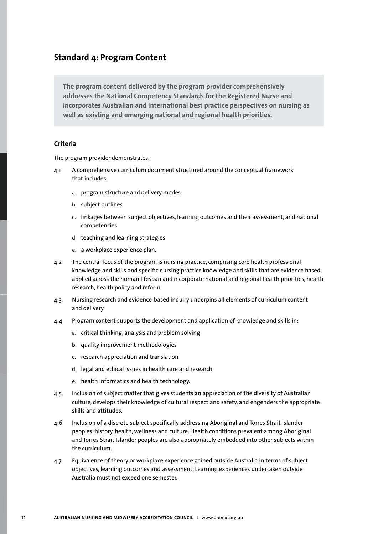## **Standard 4: Program Content**

**The program content delivered by the program provider comprehensively addresses the National Competency Standards for the Registered Nurse and incorporates Australian and international best practice perspectives on nursing as well as existing and emerging national and regional health priorities.**

## **Criteria**

- 4.1 A comprehensive curriculum document structured around the conceptual framework that includes:
	- a. program structure and delivery modes
	- b. subject outlines
	- c. linkages between subject objectives, learning outcomes and their assessment, and national competencies
	- d. teaching and learning strategies
	- e. a workplace experience plan.
- 4.2 The central focus of the program is nursing practice, comprising core health professional knowledge and skills and specific nursing practice knowledge and skills that are evidence based, applied across the human lifespan and incorporate national and regional health priorities, health research, health policy and reform.
- 4.3 Nursing research and evidence-based inquiry underpins all elements of curriculum content and delivery.
- 4.4 Program content supports the development and application of knowledge and skills in:
	- a. critical thinking, analysis and problem solving
	- b. quality improvement methodologies
	- c. research appreciation and translation
	- d. legal and ethical issues in health care and research
	- e. health informatics and health technology.
- 4.5 Inclusion of subject matter that gives students an appreciation of the diversity of Australian culture, develops their knowledge of cultural respect and safety, and engenders the appropriate skills and attitudes.
- 4.6 Inclusion of a discrete subject specifically addressing Aboriginal and Torres Strait Islander peoples' history, health, wellness and culture. Health conditions prevalent among Aboriginal and Torres Strait Islander peoples are also appropriately embedded into other subjects within the curriculum.
- 4.7 Equivalence of theory or workplace experience gained outside Australia in terms of subject objectives, learning outcomes and assessment. Learning experiences undertaken outside Australia must not exceed one semester.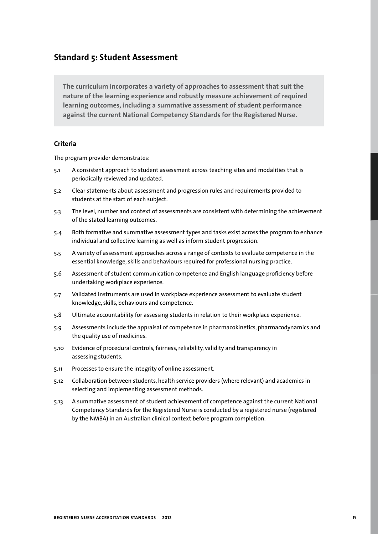## **Standard 5: Student Assessment**

**The curriculum incorporates a variety of approaches to assessment that suit the nature of the learning experience and robustly measure achievement of required learning outcomes, including a summative assessment of student performance against the current National Competency Standards for the Registered Nurse.**

## **Criteria**

- 5.1 A consistent approach to student assessment across teaching sites and modalities that is periodically reviewed and updated.
- 5.2 Clear statements about assessment and progression rules and requirements provided to students at the start of each subject.
- 5.3 The level, number and context of assessments are consistent with determining the achievement of the stated learning outcomes.
- 5.4 Both formative and summative assessment types and tasks exist across the program to enhance individual and collective learning as well as inform student progression.
- 5.5 A variety of assessment approaches across a range of contexts to evaluate competence in the essential knowledge, skills and behaviours required for professional nursing practice.
- 5.6 Assessment of student communication competence and English language proficiency before undertaking workplace experience.
- 5.7 Validated instruments are used in workplace experience assessment to evaluate student knowledge, skills, behaviours and competence.
- 5.8 Ultimate accountability for assessing students in relation to their workplace experience.
- 5.9 Assessments include the appraisal of competence in pharmacokinetics, pharmacodynamics and the quality use of medicines.
- 5.10 Evidence of procedural controls, fairness, reliability, validity and transparency in assessing students.
- 5.11 Processes to ensure the integrity of online assessment.
- 5.12 Collaboration between students, health service providers (where relevant) and academics in selecting and implementing assessment methods.
- 5.13 A summative assessment of student achievement of competence against the current National Competency Standards for the Registered Nurse is conducted by a registered nurse (registered by the NMBA) in an Australian clinical context before program completion.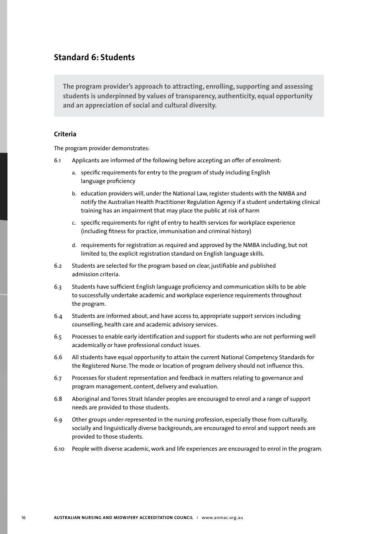## **Standard 6: Students**

**The program provider's approach to attracting, enrolling, supporting and assessing students is underpinned by values of transparency, authenticity, equal opportunity and an appreciation of social and cultural diversity.** 

### **Criteria**

- 6.1 Applicants are informed of the following before accepting an offer of enrolment:
	- a. specific requirements for entry to the program of study including English language proficiency
	- b. education providers will, under the National Law, register students with the NMBA and notify the Australian Health Practitioner Regulation Agency if a student undertaking clinical training has an impairment that may place the public at risk of harm
	- c. specific requirements for right of entry to health services for workplace experience (including fitness for practice, immunisation and criminal history)
	- d. requirements for registration as required and approved by the NMBA including, but not limited to, the explicit registration standard on English language skills.
- 6.2 Students are selected for the program based on clear, justifiable and published admission criteria.
- 6.3 Students have sufficient English language proficiency and communication skills to be able to successfully undertake academic and workplace experience requirements throughout the program.
- 6.4 Students are informed about, and have access to, appropriate support services including counselling, health care and academic advisory services.
- 6.5 Processes to enable early identification and support for students who are not performing well academically or have professional conduct issues.
- 6.6 All students have equal opportunity to attain the current National Competency Standards for the Registered Nurse. The mode or location of program delivery should not influence this.
- 6.7 Processes for student representation and feedback in matters relating to governance and program management, content, delivery and evaluation.
- 6.8 Aboriginal and Torres Strait Islander peoples are encouraged to enrol and a range of support needs are provided to those students.
- 6.9 Other groups under-represented in the nursing profession, especially those from culturally, socially and linguistically diverse backgrounds, are encouraged to enrol and support needs are provided to those students.
- 6.10 People with diverse academic, work and life experiences are encouraged to enrol in the program.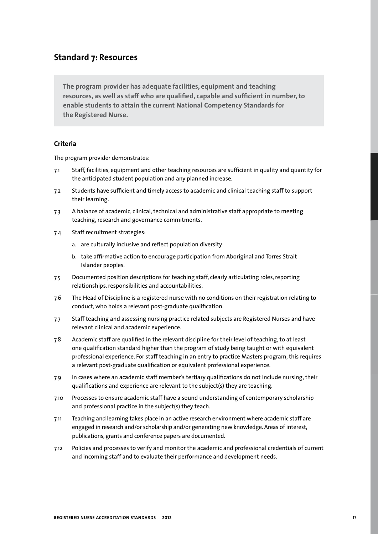## **Standard 7: Resources**

**The program provider has adequate facilities, equipment and teaching resources, as well as staff who are qualified, capable and sufficient in number, to enable students to attain the current National Competency Standards for the Registered Nurse.** 

## **Criteria**

- 7.1 Staff, facilities, equipment and other teaching resources are sufficient in quality and quantity for the anticipated student population and any planned increase.
- 7.2 Students have sufficient and timely access to academic and clinical teaching staff to support their learning.
- 7.3 A balance of academic, clinical, technical and administrative staff appropriate to meeting teaching, research and governance commitments.
- 7.4 Staff recruitment strategies:
	- a. are culturally inclusive and reflect population diversity
	- b. take affirmative action to encourage participation from Aboriginal and Torres Strait Islander peoples.
- 7.5 Documented position descriptions for teaching staff, clearly articulating roles, reporting relationships, responsibilities and accountabilities.
- 7.6 The Head of Discipline is a registered nurse with no conditions on their registration relating to conduct, who holds a relevant post-graduate qualification.
- 7.7 Staff teaching and assessing nursing practice related subjects are Registered Nurses and have relevant clinical and academic experience.
- 7.8 Academic staff are qualified in the relevant discipline for their level of teaching, to at least one qualification standard higher than the program of study being taught or with equivalent professional experience. For staff teaching in an entry to practice Masters program, this requires a relevant post-graduate qualification or equivalent professional experience.
- 7.9 In cases where an academic staff member's tertiary qualifications do not include nursing, their qualifications and experience are relevant to the subject(s) they are teaching.
- 7.10 Processes to ensure academic staff have a sound understanding of contemporary scholarship and professional practice in the subject(s) they teach.
- 7.11 Teaching and learning takes place in an active research environment where academic staff are engaged in research and/or scholarship and/or generating new knowledge. Areas of interest, publications, grants and conference papers are documented.
- 7.12 Policies and processes to verify and monitor the academic and professional credentials of current and incoming staff and to evaluate their performance and development needs.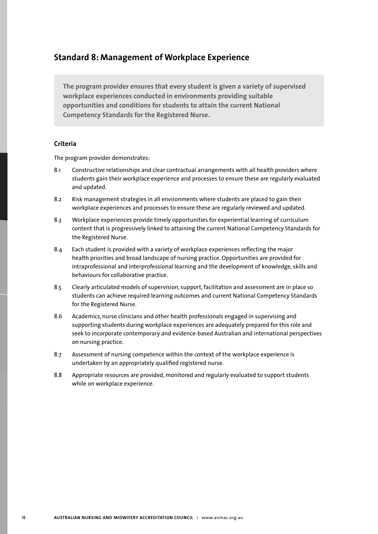## **Standard 8: Management of Workplace Experience**

**The program provider ensures that every student is given a variety of supervised workplace experiences conducted in environments providing suitable opportunities and conditions for students to attain the current National Competency Standards for the Registered Nurse.**

## **Criteria**

- 8.1 Constructive relationships and clear contractual arrangements with all health providers where students gain their workplace experience and processes to ensure these are regularly evaluated and updated.
- 8.2 Risk management strategies in all environments where students are placed to gain their workplace experiences and processes to ensure these are regularly reviewed and updated.
- 8.3 Workplace experiences provide timely opportunities for experiential learning of curriculum content that is progressively linked to attaining the current National Competency Standards for the Registered Nurse.
- 8.4 Each student is provided with a variety of workplace experiences reflecting the major health priorities and broad landscape of nursing practice. Opportunities are provided for intraprofessional and interprofessional learning and the development of knowledge, skills and behaviours for collaborative practice.
- 8.5 Clearly articulated models of supervision, support, facilitation and assessment are in place so students can achieve required learning outcomes and current National Competency Standards for the Registered Nurse.
- 8.6 Academics, nurse clinicians and other health professionals engaged in supervising and supporting students during workplace experiences are adequately prepared for this role and seek to incorporate contemporary and evidence-based Australian and international perspectives on nursing practice.
- 8.7 Assessment of nursing competence within the context of the workplace experience is undertaken by an appropriately qualified registered nurse.
- 8.8 Appropriate resources are provided, monitored and regularly evaluated to support students while on workplace experience.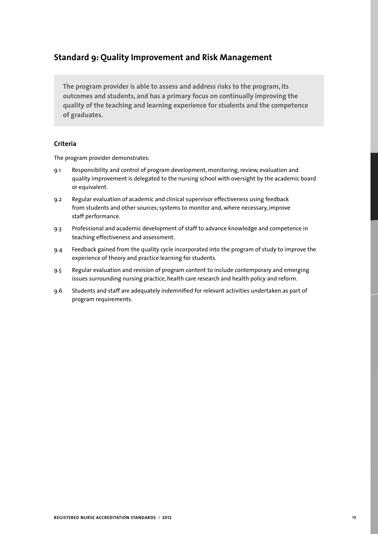# **Standard 9: Quality Improvement and Risk Management**

**The program provider is able to assess and address risks to the program, its outcomes and students, and has a primary focus on continually improving the quality of the teaching and learning experience for students and the competence of graduates.**

## **Criteria**

- 9.1 Responsibility and control of program development, monitoring, review, evaluation and quality improvement is delegated to the nursing school with oversight by the academic board or equivalent.
- 9.2 Regular evaluation of academic and clinical supervisor effectiveness using feedback from students and other sources; systems to monitor and, where necessary, improve staff performance.
- 9.3 Professional and academic development of staff to advance knowledge and competence in teaching effectiveness and assessment.
- 9.4 Feedback gained from the quality cycle incorporated into the program of study to improve the experience of theory and practice learning for students.
- 9.5 Regular evaluation and revision of program content to include contemporary and emerging issues surrounding nursing practice, health care research and health policy and reform.
- 9.6 Students and staff are adequately indemnified for relevant activities undertaken as part of program requirements.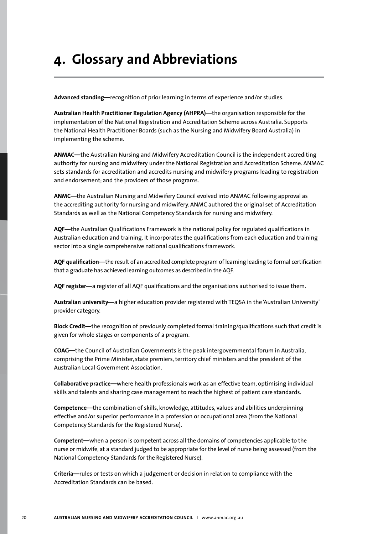# **4. Glossary and Abbreviations**

**Advanced standing—**recognition of prior learning in terms of experience and/or studies.

**Australian Health Practitioner Regulation Agency (AHPRA)**—the organisation responsible for the implementation of the National Registration and Accreditation Scheme across Australia. Supports the National Health Practitioner Boards (such as the Nursing and Midwifery Board Australia) in implementing the scheme.

**ANMAC—**the Australian Nursing and Midwifery Accreditation Council is the independent accrediting authority for nursing and midwifery under the National Registration and Accreditation Scheme. ANMAC sets standards for accreditation and accredits nursing and midwifery programs leading to registration and endorsement; and the providers of those programs.

**ANMC—**the Australian Nursing and Midwifery Council evolved into ANMAC following approval as the accrediting authority for nursing and midwifery. ANMC authored the original set of Accreditation Standards as well as the National Competency Standards for nursing and midwifery.

**AQF—**the Australian Qualifications Framework is the national policy for regulated qualifications in Australian education and training. It incorporates the qualifications from each education and training sector into a single comprehensive national qualifications framework.

**AQF qualification—**the result of an accredited complete program of learning leading to formal certification that a graduate has achieved learning outcomes as described in the AQF.

**AQF register—**a register of all AQF qualifications and the organisations authorised to issue them.

**Australian university—**a higher education provider registered with TEQSA in the 'Australian University' provider category.

**Block Credit—**the recognition of previously completed formal training/qualifications such that credit is given for whole stages or components of a program.

**COAG—**the Council of Australian Governments is the peak intergovernmental forum in Australia, comprising the Prime Minister, state premiers, territory chief ministers and the president of the Australian Local Government Association.

**Collaborative practice—**where health professionals work as an effective team, optimising individual skills and talents and sharing case management to reach the highest of patient care standards.

**Competence—**the combination of skills, knowledge, attitudes, values and abilities underpinning effective and/or superior performance in a profession or occupational area (from the National Competency Standards for the Registered Nurse).

**Competent—**when a person is competent across all the domains of competencies applicable to the nurse or midwife, at a standard judged to be appropriate for the level of nurse being assessed (from the National Competency Standards for the Registered Nurse).

**Criteria—**rules or tests on which a judgement or decision in relation to compliance with the Accreditation Standards can be based.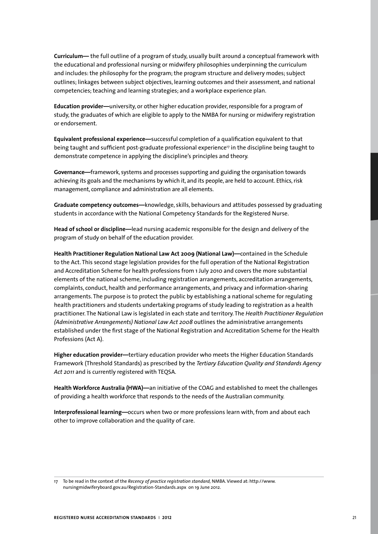**Curriculum—** the full outline of a program of study, usually built around a conceptual framework with the educational and professional nursing or midwifery philosophies underpinning the curriculum and includes: the philosophy for the program; the program structure and delivery modes; subject outlines; linkages between subject objectives, learning outcomes and their assessment, and national competencies; teaching and learning strategies; and a workplace experience plan.

**Education provider—**university, or other higher education provider, responsible for a program of study, the graduates of which are eligible to apply to the NMBA for nursing or midwifery registration or endorsement.

**Equivalent professional experience—**successful completion of a qualification equivalent to that being taught and sufficient post-graduate professional experience<sup>17</sup> in the discipline being taught to demonstrate competence in applying the discipline's principles and theory.

**Governance—**framework, systems and processes supporting and guiding the organisation towards achieving its goals and the mechanisms by which it, and its people, are held to account. Ethics, risk management, compliance and administration are all elements.

**Graduate competency outcomes—**knowledge, skills, behaviours and attitudes possessed by graduating students in accordance with the National Competency Standards for the Registered Nurse.

**Head of school or discipline—**lead nursing academic responsible for the design and delivery of the program of study on behalf of the education provider.

**Health Practitioner Regulation National Law Act 2009 (National Law)—**contained in the Schedule to the Act. This second stage legislation provides for the full operation of the National Registration and Accreditation Scheme for health professions from 1 July 2010 and covers the more substantial elements of the national scheme, including registration arrangements, accreditation arrangements, complaints, conduct, health and performance arrangements, and privacy and information-sharing arrangements. The purpose is to protect the public by establishing a national scheme for regulating health practitioners and students undertaking programs of study leading to registration as a health practitioner. The National Law is legislated in each state and territory. The *Health Practitioner Regulation (Administrative Arrangements) National Law Act 2008* outlines the administrative arrangements established under the first stage of the National Registration and Accreditation Scheme for the Health Professions (Act A).

**Higher education provider—**tertiary education provider who meets the Higher Education Standards Framework (Threshold Standards) as prescribed by the *Tertiary Education Quality and Standards Agency Act 2011* and is currently registered with TEQSA.

**Health Workforce Australia (HWA)—**an initiative of the COAG and established to meet the challenges of providing a health workforce that responds to the needs of the Australian community.

**Interprofessional learning—**occurs when two or more professions learn with, from and about each other to improve collaboration and the quality of care.

17 To be read in the context of the *Recency of practice registration standard,* NMBA. Viewed at: http://www. nursingmidwiferyboard.gov.au/Registration-Standards.aspx on 19 June 2012.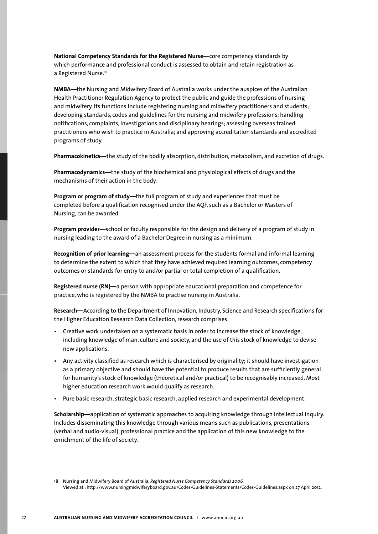**National Competency Standards for the Registered Nurse—**core competency standards by which performance and professional conduct is assessed to obtain and retain registration as a Registered Nurse.<sup>18</sup>

**NMBA—**the Nursing and Midwifery Board of Australia works under the auspices of the Australian Health Practitioner Regulation Agency to protect the public and guide the professions of nursing and midwifery. Its functions include registering nursing and midwifery practitioners and students; developing standards, codes and guidelines for the nursing and midwifery professions; handling notifications, complaints, investigations and disciplinary hearings; assessing overseas trained practitioners who wish to practice in Australia; and approving accreditation standards and accredited programs of study.

**Pharmacokinetics—**the study of the bodily absorption, distribution, metabolism, and excretion of drugs.

**Pharmacodynamics—**the study of the biochemical and physiological effects of drugs and the mechanisms of their action in the body.

**Program or program of study—**the full program of study and experiences that must be completed before a qualification recognised under the AQF, such as a Bachelor or Masters of Nursing, can be awarded.

**Program provider—**school or faculty responsible for the design and delivery of a program of study in nursing leading to the award of a Bachelor Degree in nursing as a minimum.

**Recognition of prior learning—**an assessment process for the students formal and informal learning to determine the extent to which that they have achieved required learning outcomes, competency outcomes or standards for entry to and/or partial or total completion of a qualification.

**Registered nurse (RN)—**a person with appropriate educational preparation and competence for practice, who is registered by the NMBA to practise nursing in Australia.

**Research—**According to the Department of Innovation, Industry, Science and Research specifications for the Higher Education Research Data Collection, research comprises:

- Creative work undertaken on a systematic basis in order to increase the stock of knowledge, including knowledge of man, culture and society, and the use of this stock of knowledge to devise new applications.
- Any activity classified as research which is characterised by originality; it should have investigation as a primary objective and should have the potential to produce results that are sufficiently general for humanity's stock of knowledge (theoretical and/or practical) to be recognisably increased. Most higher education research work would qualify as research.
- Pure basic research, strategic basic research, applied research and experimental development.

**Scholarship—**application of systematic approaches to acquiring knowledge through intellectual inquiry. Includes disseminating this knowledge through various means such as publications, presentations (verbal and audio-visual), professional practice and the application of this new knowledge to the enrichment of the life of society.

<sup>18</sup> Nursing and Midwifery Board of Australia, *Registered Nurse Competency Standards 2006.* 

Viewed at : http://www.nursingmidwiferyboard.gov.au/Codes-Guidelines-Statements/Codes-Guidelines.aspx on 27 April 2012.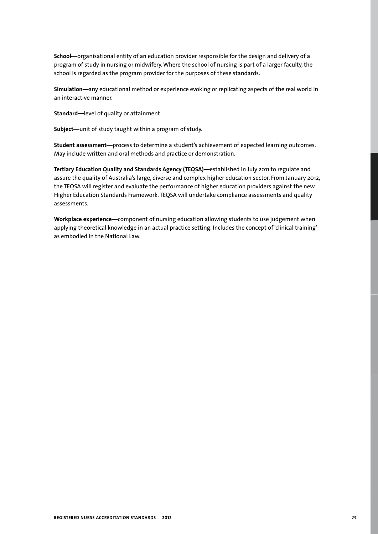**School—**organisational entity of an education provider responsible for the design and delivery of a program of study in nursing or midwifery. Where the school of nursing is part of a larger faculty, the school is regarded as the program provider for the purposes of these standards.

**Simulation—**any educational method or experience evoking or replicating aspects of the real world in an interactive manner.

**Standard—**level of quality or attainment.

**Subject—**unit of study taught within a program of study.

**Student assessment—**process to determine a student's achievement of expected learning outcomes. May include written and oral methods and practice or demonstration.

**Tertiary Education Quality and Standards Agency (TEQSA)—**established in July 2011 to regulate and assure the quality of Australia's large, diverse and complex higher education sector. From January 2012, the TEQSA will register and evaluate the performance of higher education providers against the new Higher Education Standards Framework. TEQSA will undertake compliance assessments and quality assessments.

**Workplace experience—**component of nursing education allowing students to use judgement when applying theoretical knowledge in an actual practice setting. Includes the concept of 'clinical training' as embodied in the National Law.